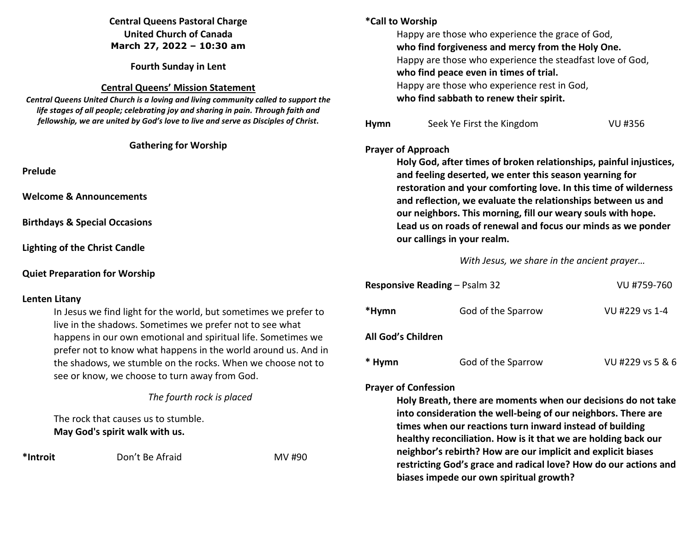# **Central Queens Pastoral Charge United Church of Canada March 27, 2022 – 10:30 am**

**Fourth Sunday in Lent** 

#### **Central Queens' Mission Statement**

 *Central Queens United Church is a loving and living community called to support the life stages of all people; celebrating joy and sharing in pain. Through faith and fellowship, we are united by God's love to live and serve as Disciples of Christ***.** 

#### **Gathering for Worship**

**Prelude** 

**Welcome & Announcements** 

**Birthdays & Special Occasions** 

**Lighting of the Christ Candle** 

**Quiet Preparation for Worship** 

#### **Lenten Litany**

 In Jesus we find light for the world, but sometimes we prefer to live in the shadows. Sometimes we prefer not to see what happens in our own emotional and spiritual life. Sometimes we prefer not to know what happens in the world around us. And in the shadows, we stumble on the rocks. When we choose not to see or know, we choose to turn away from God.

# *The fourth rock is placed*

 The rock that causes us to stumble.  **May God's spirit walk with us.** 

**\*Introit** Don't Be Afraid MV #90

# **\*Call to Worship** Happy are those who experience the grace of God, **who find forgiveness and mercy from the Holy One.**  Happy are those who experience the steadfast love of God, **who find peace even in times of trial.**  Happy are those who experience rest in God, **who find sabbath to renew their spirit.Hymn** Seek Ye First the Kingdom VU #356

#### **Prayer of Approach**

 **Holy God, after times of broken relationships, painful injustices, and feeling deserted, we enter this season yearning for restoration and your comforting love. In this time of wilderness and reflection, we evaluate the relationships between us and our neighbors. This morning, fill our weary souls with hope. Lead us on roads of renewal and focus our minds as we ponder our callings in your realm.** 

*With Jesus, we share in the ancient prayer…* 

| <b>Responsive Reading – Psalm 32</b> |                    | VU #759-760      |
|--------------------------------------|--------------------|------------------|
| *Hymn                                | God of the Sparrow | VU #229 vs 1-4   |
| All God's Children                   |                    |                  |
| * Hymn                               | God of the Sparrow | VU #229 vs 5 & 6 |

#### **Prayer of Confession**

**Holy Breath, there are moments when our decisions do not take into consideration the well-being of our neighbors. There are times when our reactions turn inward instead of building healthy reconciliation. How is it that we are holding back our neighbor's rebirth? How are our implicit and explicit biases restricting God's grace and radical love? How do our actions and biases impede our own spiritual growth?**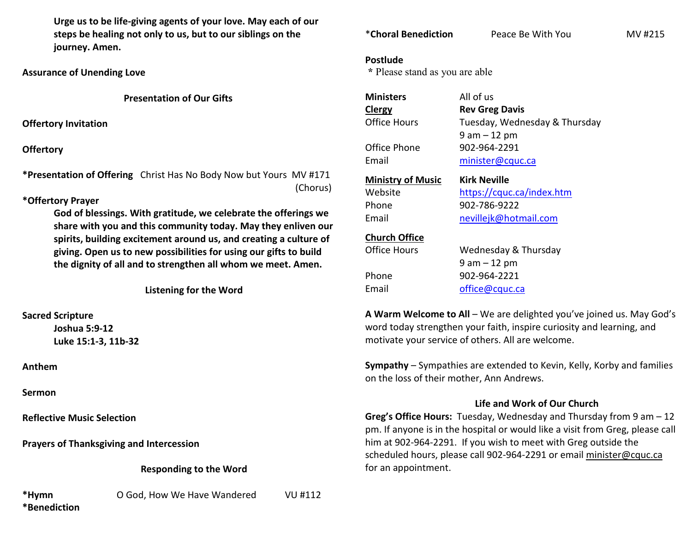**Urge us to be life-giving agents of your love. May each of our steps be healing not only to us, but to our siblings on the journey. Amen.** 

**Assurance of Unending Love** 

**Presentation of Our Gifts**

**Offertory Invitation** 

**Offertory**

**\*Presentation of Offering** Christ Has No Body Now but Yours MV #171 (Chorus)

## **\*Offertory Prayer**

**God of blessings. With gratitude, we celebrate the offerings we share with you and this community today. May they enliven our spirits, building excitement around us, and creating a culture of giving. Open us to new possibilities for using our gifts to build the dignity of all and to strengthen all whom we meet. Amen.**

**Listening for the Word** 

**Sacred Scripture** 

 **Joshua 5:9-12 Luke 15:1-3, 11b-32** 

**Anthem** 

**Sermon** 

**Reflective Music Selection** 

**Prayers of Thanksgiving and Intercession** 

**Responding to the Word** 

**\*Benediction** 

**\*Hymn** O God, How We Have Wandered VU #112

\***Choral Benediction** Peace Be With You MV #215

#### **Postlude**

 **\*** Please stand as you are able

| Ministers                | All of us                     |
|--------------------------|-------------------------------|
| <b>Clergy</b>            | <b>Rev Greg Davis</b>         |
| <b>Office Hours</b>      | Tuesday, Wednesday & Thursday |
|                          | $9$ am $-12$ pm               |
| Office Phone             | 902-964-2291                  |
| Email                    | minister@cquc.ca              |
| <b>Ministry of Music</b> | <b>Kirk Neville</b>           |
| Website                  | https://cquc.ca/index.htm     |
| Phone                    | 902-786-9222                  |
| Email                    | nevillejk@hotmail.com         |
| <b>Church Office</b>     |                               |
| Office Hours             | Wednesday & Thursday          |
|                          | $9$ am $-12$ pm               |
| Phone                    | 902-964-2221                  |
| Email                    | office@cquc.ca                |

**A Warm Welcome to All** – We are delighted you've joined us. May God's word today strengthen your faith, inspire curiosity and learning, and motivate your service of others. All are welcome.

**Sympathy** – Sympathies are extended to Kevin, Kelly, Korby and families on the loss of their mother, Ann Andrews.

## **Life and Work of Our Church**

**Greg's Office Hours:** Tuesday, Wednesday and Thursday from 9 am – 12 pm. If anyone is in the hospital or would like a visit from Greg, please call him at 902-964-2291. If you wish to meet with Greg outside the scheduled hours, please call 902-964-2291 or email minister@cquc.ca for an appointment.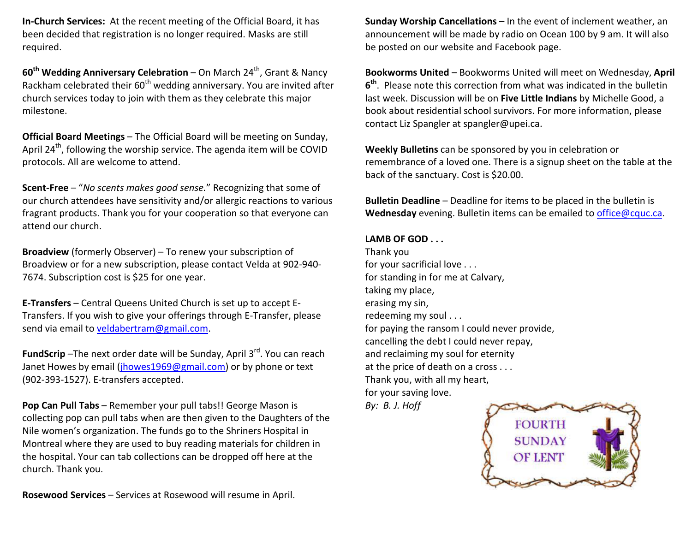**In-Church Services:** At the recent meeting of the Official Board, it has been decided that registration is no longer required. Masks are still required.

**60<sup>th</sup> Wedding Anniversary Celebration** – On March 24<sup>th</sup>, Grant & Nancy Rackham celebrated their 60<sup>th</sup> wedding anniversary. You are invited after church services today to join with them as they celebrate this major milestone.

**Official Board Meetings** – The Official Board will be meeting on Sunday, April 24<sup>th</sup>, following the worship service. The agenda item will be COVID protocols. All are welcome to attend.

**Scent-Free** – "*No scents makes good sense.*" Recognizing that some of our church attendees have sensitivity and/or allergic reactions to various fragrant products. Thank you for your cooperation so that everyone can attend our church.

**Broadview** (formerly Observer) – To renew your subscription of Broadview or for a new subscription, please contact Velda at 902-940-7674. Subscription cost is \$25 for one year.

**E-Transfers** – Central Queens United Church is set up to accept E-Transfers. If you wish to give your offerings through E-Transfer, please send via email to veldabertram@gmail.com.

**FundScrip** -The next order date will be Sunday, April 3<sup>rd</sup>. You can reach Janet Howes by email (jhowes1969@gmail.com) or by phone or text (902-393-1527). E-transfers accepted.

**Pop Can Pull Tabs** – Remember your pull tabs!! George Mason is collecting pop can pull tabs when are then given to the Daughters of the Nile women's organization. The funds go to the Shriners Hospital in Montreal where they are used to buy reading materials for children in the hospital. Your can tab collections can be dropped off here at the church. Thank you.

**Rosewood Services** – Services at Rosewood will resume in April.

**Sunday Worship Cancellations** – In the event of inclement weather, an announcement will be made by radio on Ocean 100 by 9 am. It will also be posted on our website and Facebook page.

**Bookworms United** – Bookworms United will meet on Wednesday, **April 6th**. Please note this correction from what was indicated in the bulletin last week. Discussion will be on **Five Little Indians** by Michelle Good, a book about residential school survivors. For more information, please contact Liz Spangler at spangler@upei.ca.

**Weekly Bulletins** can be sponsored by you in celebration or remembrance of a loved one. There is a signup sheet on the table at the back of the sanctuary. Cost is \$20.00.

**Bulletin Deadline** – Deadline for items to be placed in the bulletin is **Wednesday** evening. Bulletin items can be emailed to office@cquc.ca.

#### **LAMB OF GOD . . .**

Thank you for your sacrificial love . . . for standing in for me at Calvary, taking my place, erasing my sin, redeeming my soul . . . for paying the ransom I could never provide, cancelling the debt I could never repay, and reclaiming my soul for eternity at the price of death on a cross . . . Thank you, with all my heart, for your saving love.

*By: B. J. Hoff*